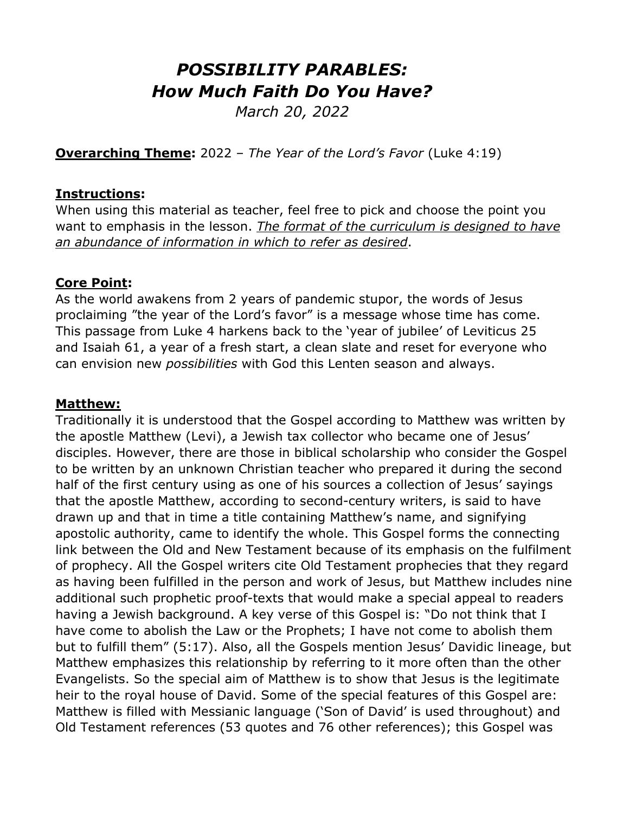# *POSSIBILITY PARABLES: How Much Faith Do You Have?*

*March 20, 2022*

**Overarching Theme:** 2022 – *The Year of the Lord's Favor* (Luke 4:19)

### **Instructions:**

When using this material as teacher, feel free to pick and choose the point you want to emphasis in the lesson. *The format of the curriculum is designed to have an abundance of information in which to refer as desired*.

### **Core Point:**

As the world awakens from 2 years of pandemic stupor, the words of Jesus proclaiming "the year of the Lord's favor" is a message whose time has come. This passage from Luke 4 harkens back to the 'year of jubilee' of Leviticus 25 and Isaiah 61, a year of a fresh start, a clean slate and reset for everyone who can envision new *possibilities* with God this Lenten season and always.

### **Matthew:**

Traditionally it is understood that the Gospel according to Matthew was written by the apostle Matthew (Levi), a Jewish tax collector who became one of Jesus' disciples. However, there are those in biblical scholarship who consider the Gospel to be written by an unknown Christian teacher who prepared it during the second half of the first century using as one of his sources a collection of Jesus' sayings that the apostle Matthew, according to second-century writers, is said to have drawn up and that in time a title containing Matthew's name, and signifying apostolic authority, came to identify the whole. This Gospel forms the connecting link between the Old and New Testament because of its emphasis on the fulfilment of prophecy. All the Gospel writers cite Old Testament prophecies that they regard as having been fulfilled in the person and work of Jesus, but Matthew includes nine additional such prophetic proof-texts that would make a special appeal to readers having a Jewish background. A key verse of this Gospel is: "Do not think that I have come to abolish the Law or the Prophets; I have not come to abolish them but to fulfill them" (5:17). Also, all the Gospels mention Jesus' Davidic lineage, but Matthew emphasizes this relationship by referring to it more often than the other Evangelists. So the special aim of Matthew is to show that Jesus is the legitimate heir to the royal house of David. Some of the special features of this Gospel are: Matthew is filled with Messianic language ('Son of David' is used throughout) and Old Testament references (53 quotes and 76 other references); this Gospel was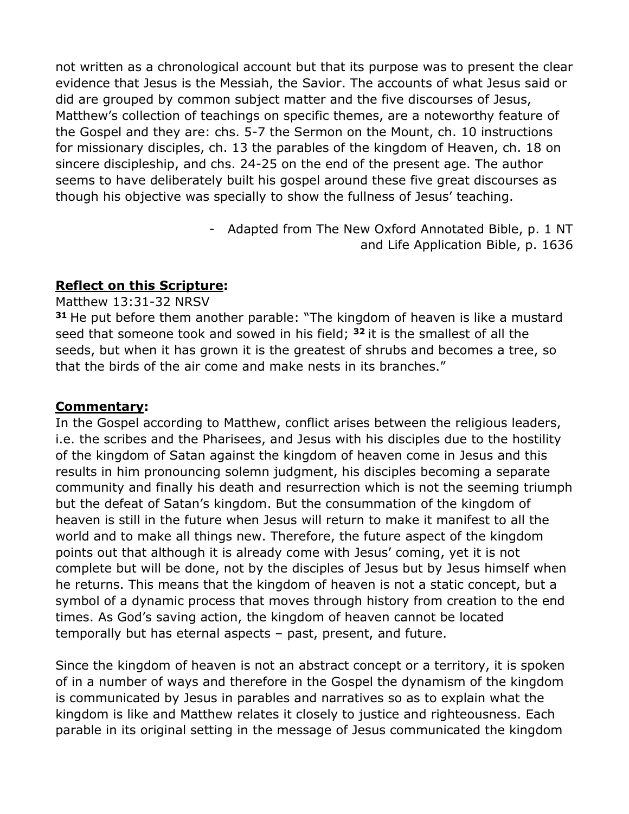not written as a chronological account but that its purpose was to present the clear evidence that Jesus is the Messiah, the Savior. The accounts of what Jesus said or did are grouped by common subject matter and the five discourses of Jesus, Matthew's collection of teachings on specific themes, are a noteworthy feature of the Gospel and they are: chs. 5-7 the Sermon on the Mount, ch. 10 instructions for missionary disciples, ch. 13 the parables of the kingdom of Heaven, ch. 18 on sincere discipleship, and chs. 24-25 on the end of the present age. The author seems to have deliberately built his gospel around these five great discourses as though his objective was specially to show the fullness of Jesus' teaching.

> - Adapted from The New Oxford Annotated Bible, p. 1 NT and Life Application Bible, p. 1636

### **Reflect on this Scripture:**

#### Matthew 13:31-32 NRSV

**<sup>31</sup>** He put before them another parable: "The kingdom of heaven is like a mustard seed that someone took and sowed in his field; **<sup>32</sup>** it is the smallest of all the seeds, but when it has grown it is the greatest of shrubs and becomes a tree, so that the birds of the air come and make nests in its branches."

### **Commentary:**

In the Gospel according to Matthew, conflict arises between the religious leaders, i.e. the scribes and the Pharisees, and Jesus with his disciples due to the hostility of the kingdom of Satan against the kingdom of heaven come in Jesus and this results in him pronouncing solemn judgment, his disciples becoming a separate community and finally his death and resurrection which is not the seeming triumph but the defeat of Satan's kingdom. But the consummation of the kingdom of heaven is still in the future when Jesus will return to make it manifest to all the world and to make all things new. Therefore, the future aspect of the kingdom points out that although it is already come with Jesus' coming, yet it is not complete but will be done, not by the disciples of Jesus but by Jesus himself when he returns. This means that the kingdom of heaven is not a static concept, but a symbol of a dynamic process that moves through history from creation to the end times. As God's saving action, the kingdom of heaven cannot be located temporally but has eternal aspects – past, present, and future.

Since the kingdom of heaven is not an abstract concept or a territory, it is spoken of in a number of ways and therefore in the Gospel the dynamism of the kingdom is communicated by Jesus in parables and narratives so as to explain what the kingdom is like and Matthew relates it closely to justice and righteousness. Each parable in its original setting in the message of Jesus communicated the kingdom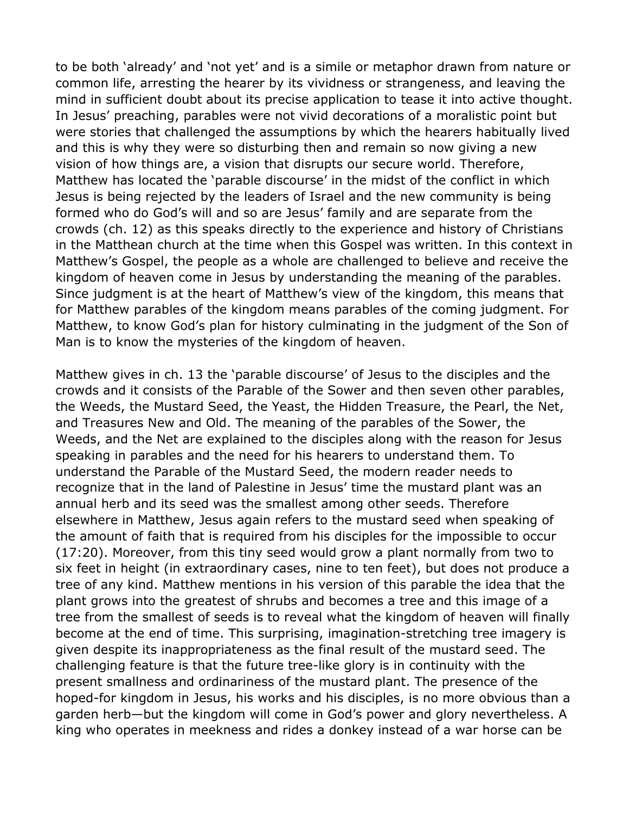to be both 'already' and 'not yet' and is a simile or metaphor drawn from nature or common life, arresting the hearer by its vividness or strangeness, and leaving the mind in sufficient doubt about its precise application to tease it into active thought. In Jesus' preaching, parables were not vivid decorations of a moralistic point but were stories that challenged the assumptions by which the hearers habitually lived and this is why they were so disturbing then and remain so now giving a new vision of how things are, a vision that disrupts our secure world. Therefore, Matthew has located the 'parable discourse' in the midst of the conflict in which Jesus is being rejected by the leaders of Israel and the new community is being formed who do God's will and so are Jesus' family and are separate from the crowds (ch. 12) as this speaks directly to the experience and history of Christians in the Matthean church at the time when this Gospel was written. In this context in Matthew's Gospel, the people as a whole are challenged to believe and receive the kingdom of heaven come in Jesus by understanding the meaning of the parables. Since judgment is at the heart of Matthew's view of the kingdom, this means that for Matthew parables of the kingdom means parables of the coming judgment. For Matthew, to know God's plan for history culminating in the judgment of the Son of Man is to know the mysteries of the kingdom of heaven.

Matthew gives in ch. 13 the 'parable discourse' of Jesus to the disciples and the crowds and it consists of the Parable of the Sower and then seven other parables, the Weeds, the Mustard Seed, the Yeast, the Hidden Treasure, the Pearl, the Net, and Treasures New and Old. The meaning of the parables of the Sower, the Weeds, and the Net are explained to the disciples along with the reason for Jesus speaking in parables and the need for his hearers to understand them. To understand the Parable of the Mustard Seed, the modern reader needs to recognize that in the land of Palestine in Jesus' time the mustard plant was an annual herb and its seed was the smallest among other seeds. Therefore elsewhere in Matthew, Jesus again refers to the mustard seed when speaking of the amount of faith that is required from his disciples for the impossible to occur (17:20). Moreover, from this tiny seed would grow a plant normally from two to six feet in height (in extraordinary cases, nine to ten feet), but does not produce a tree of any kind. Matthew mentions in his version of this parable the idea that the plant grows into the greatest of shrubs and becomes a tree and this image of a tree from the smallest of seeds is to reveal what the kingdom of heaven will finally become at the end of time. This surprising, imagination-stretching tree imagery is given despite its inappropriateness as the final result of the mustard seed. The challenging feature is that the future tree-like glory is in continuity with the present smallness and ordinariness of the mustard plant. The presence of the hoped-for kingdom in Jesus, his works and his disciples, is no more obvious than a garden herb—but the kingdom will come in God's power and glory nevertheless. A king who operates in meekness and rides a donkey instead of a war horse can be